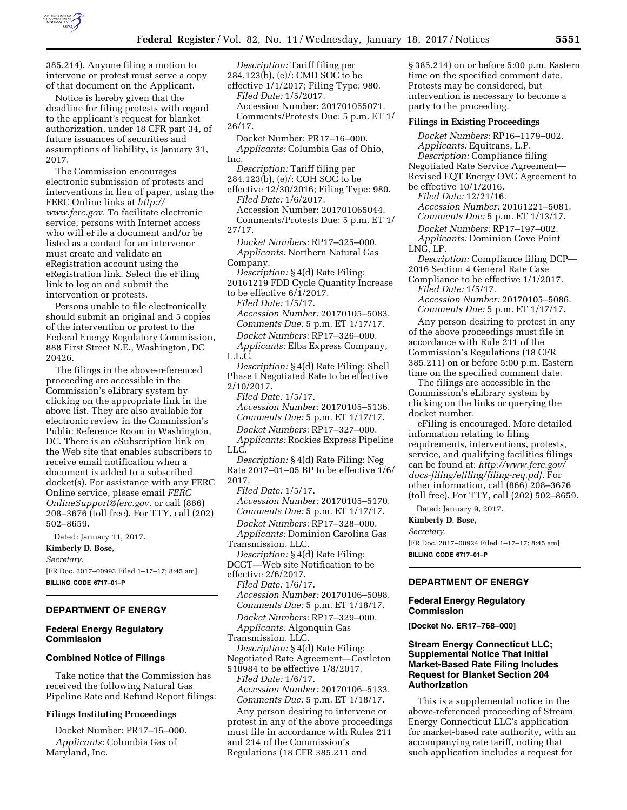

385.214). Anyone filing a motion to intervene or protest must serve a copy of that document on the Applicant.

Notice is hereby given that the deadline for filing protests with regard to the applicant's request for blanket authorization, under 18 CFR part 34, of future issuances of securities and assumptions of liability, is January 31, 2017.

The Commission encourages electronic submission of protests and interventions in lieu of paper, using the FERC Online links at *[http://](http://www.ferc.gov) [www.ferc.gov.](http://www.ferc.gov)* To facilitate electronic service, persons with Internet access who will eFile a document and/or be listed as a contact for an intervenor must create and validate an eRegistration account using the eRegistration link. Select the eFiling link to log on and submit the intervention or protests.

Persons unable to file electronically should submit an original and 5 copies of the intervention or protest to the Federal Energy Regulatory Commission, 888 First Street N.E., Washington, DC 20426.

The filings in the above-referenced proceeding are accessible in the Commission's eLibrary system by clicking on the appropriate link in the above list. They are also available for electronic review in the Commission's Public Reference Room in Washington, DC. There is an eSubscription link on the Web site that enables subscribers to receive email notification when a document is added to a subscribed docket(s). For assistance with any FERC Online service, please email *[FERC](mailto:FERCOnlineSupport@ferc.gov) [OnlineSupport@ferc.gov.](mailto:FERCOnlineSupport@ferc.gov)* or call (866) 208–3676 (toll free). For TTY, call (202) 502–8659.

Dated: January 11, 2017.

**Kimberly D. Bose,**  *Secretary.*  [FR Doc. 2017–00993 Filed 1–17–17; 8:45 am]

# **BILLING CODE 6717–01–P**

### **DEPARTMENT OF ENERGY**

# **Federal Energy Regulatory Commission**

#### **Combined Notice of Filings**

Take notice that the Commission has received the following Natural Gas Pipeline Rate and Refund Report filings:

#### **Filings Instituting Proceedings**

Docket Number: PR17–15–000. *Applicants:* Columbia Gas of Maryland, Inc.

*Description:* Tariff filing per 284.123(b), (e)/: CMD SOC to be effective 1/1/2017; Filing Type: 980.

*Filed Date:* 1/5/2017. Accession Number: 201701055071. Comments/Protests Due: 5 p.m. ET 1/ 26/17.

Docket Number: PR17–16–000. *Applicants:* Columbia Gas of Ohio, Inc.

*Description:* Tariff filing per 284.123(b), (e)/: COH SOC to be

effective 12/30/2016; Filing Type: 980. *Filed Date:* 1/6/2017.

Accession Number: 201701065044. Comments/Protests Due: 5 p.m. ET 1/ 27/17.

*Docket Numbers:* RP17–325–000. *Applicants:* Northern Natural Gas Company.

*Description:* § 4(d) Rate Filing: 20161219 FDD Cycle Quantity Increase to be effective 6/1/2017.

*Filed Date:* 1/5/17.

*Accession Number:* 20170105–5083.

*Comments Due:* 5 p.m. ET 1/17/17. *Docket Numbers:* RP17–326–000. *Applicants:* Elba Express Company, L.L.C.

*Description:* § 4(d) Rate Filing: Shell Phase I Negotiated Rate to be effective 2/10/2017.

*Filed Date:* 1/5/17. *Accession Number:* 20170105–5136. *Comments Due:* 5 p.m. ET 1/17/17. *Docket Numbers:* RP17–327–000.

*Applicants:* Rockies Express Pipeline LLC.

*Description:* § 4(d) Rate Filing: Neg Rate 2017–01–05 BP to be effective 1/6/ 2017.

*Filed Date:* 1/5/17. *Accession Number:* 20170105–5170. *Comments Due:* 5 p.m. ET 1/17/17. *Docket Numbers:* RP17–328–000. *Applicants:* Dominion Carolina Gas Transmission, LLC.

*Description:* § 4(d) Rate Filing: DCGT—Web site Notification to be

effective 2/6/2017. *Filed Date:* 1/6/17. *Accession Number:* 20170106–5098. *Comments Due:* 5 p.m. ET 1/18/17. *Docket Numbers:* RP17–329–000. *Applicants:* Algonquin Gas Transmission, LLC.

*Description:* § 4(d) Rate Filing: Negotiated Rate Agreement—Castleton

510984 to be effective 1/8/2017. *Filed Date:* 1/6/17. *Accession Number:* 20170106–5133. *Comments Due:* 5 p.m. ET 1/18/17.

Any person desiring to intervene or protest in any of the above proceedings must file in accordance with Rules 211 and 214 of the Commission's Regulations (18 CFR 385.211 and

§ 385.214) on or before 5:00 p.m. Eastern time on the specified comment date. Protests may be considered, but intervention is necessary to become a party to the proceeding.

### **Filings in Existing Proceedings**

*Docket Numbers:* RP16–1179–002. *Applicants:* Equitrans, L.P.

*Description:* Compliance filing Negotiated Rate Service Agreement— Revised EQT Energy OVC Agreement to

be effective 10/1/2016.

*Filed Date:* 12/21/16.

*Accession Number:* 20161221–5081. *Comments Due:* 5 p.m. ET 1/13/17.

*Docket Numbers:* RP17–197–002.

*Applicants:* Dominion Cove Point LNG, LP.

*Description:* Compliance filing DCP— 2016 Section 4 General Rate Case

Compliance to be effective 1/1/2017. *Filed Date:* 1/5/17.

*Accession Number:* 20170105–5086. *Comments Due:* 5 p.m. ET 1/17/17.

Any person desiring to protest in any of the above proceedings must file in accordance with Rule 211 of the Commission's Regulations (18 CFR 385.211) on or before 5:00 p.m. Eastern time on the specified comment date.

The filings are accessible in the Commission's eLibrary system by clicking on the links or querying the docket number.

eFiling is encouraged. More detailed information relating to filing requirements, interventions, protests, service, and qualifying facilities filings can be found at: *[http://www.ferc.gov/](http://www.ferc.gov/docs-filing/efiling/filing-req.pdf)  [docs-filing/efiling/filing-req.pdf.](http://www.ferc.gov/docs-filing/efiling/filing-req.pdf)* For other information, call (866) 208–3676 (toll free). For TTY, call (202) 502–8659.

Dated: January 9, 2017.

**Kimberly D. Bose,** 

#### *Secretary.*

[FR Doc. 2017–00924 Filed 1–17–17; 8:45 am] **BILLING CODE 6717–01–P** 

### **DEPARTMENT OF ENERGY**

### **Federal Energy Regulatory Commission**

**[Docket No. ER17–768–000]** 

### **Stream Energy Connecticut LLC; Supplemental Notice That Initial Market-Based Rate Filing Includes Request for Blanket Section 204 Authorization**

This is a supplemental notice in the above-referenced proceeding of Stream Energy Connecticut LLC's application for market-based rate authority, with an accompanying rate tariff, noting that such application includes a request for